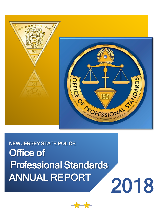

NEW JERSEY STATE POLICE **Office of** Professional Standards ANNUAL REPORT 2018

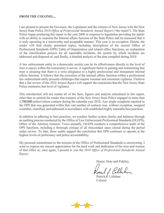#### **FROM THE COLONEL...**

I am pleased to present the Governor, the Legislature and the citizens of New Jersey with the New Jersey State Police *2018 Office of Professional Standards Annual Report* ("the report"). The State Police began producing this report in the year 2000 in response to legislation providing the public with an ability to examine the internal affairs function of the State Police and be reassured that it is truly operating in a trustworthy and acceptable manner. This year is no exception. Herein, the reader will find clearly presented topics, including descriptions of the current Office of Professional Standards (OPS) Table of Organization and related office functions, an explanation of the classification process for all reportable incidents, the system by which incidents are addressed and disposed of, and finally, a detailed analysis of the data compiled during 2018.

A law enforcement entity in a democratic society can tie its effectiveness directly to the level of trust it enjoys within the community it serves. A significant factor in gaining and maintaining that trust is ensuring that there is a strict allegiance to a highly professional and transparent internal affairs function. It follows that the execution of the internal affairs function within a professional law enforcement entity presents challenges that require constant and consistent vigilance. I believe that a fair review of the *2018 Annual Report* will support the conclusion that the New Jersey State Police maintains that level of vigilance.

This introduction will not restate all of the facts, figures and analysis articulated in this report, other than to remind the reader that troopers of the New Jersey State Police engaged in more than 1,700,000 police/citizen contacts during the calendar year 2018. Any single complaint reported to the OPS that was generated within that vast number of contacts was, without exception, assigned a number, classified, and addressed in accordance with established highly reputable best practices.

In addition to adhering to best practices, we conduct further system checks and balances through an auditing process conducted by the Office of Law Enforcement Professional Standards (OLEPS), Office of the Attorney General. Twice annually, OLEPS conducts a comprehensive audit of the OPS functions, including a thorough critique of all misconduct cases closed during the period under review. To date, these audits support the conclusion that OPS continues to operate at the highest levels of proficiency and police accountability.

My personal commitment to the mission of the Office of Professional Standards is unwavering. I want to express my sincere appreciation for the hard work and dedication of the men and women of that office as, once again, I present to you the *2018 Office of Professional Standards Annual Report.*

Honor, Duty and Fidelity,

Patent f. Co

Patrick J. Callahan Colonel

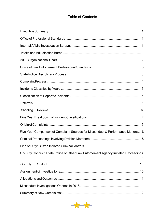# **Table of Contents**

| 6                                                                                         |
|-------------------------------------------------------------------------------------------|
| Shooting                                                                                  |
|                                                                                           |
|                                                                                           |
| Five Year Comparison of Complaint Sources for Misconduct & Performance Matters 8          |
|                                                                                           |
|                                                                                           |
| On-Duty Conduct: State Police or Other Law Enforcement Agency Initiated Proceedings.<br>9 |
| Off-Duty<br>10                                                                            |
|                                                                                           |
|                                                                                           |
|                                                                                           |
|                                                                                           |

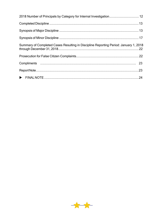| 2018 Number of Principals by Category for Internal Investigation 12                  |  |
|--------------------------------------------------------------------------------------|--|
|                                                                                      |  |
|                                                                                      |  |
|                                                                                      |  |
| Summary of Completed Cases Resulting in Discipline Reporting Period: January 1, 2018 |  |
|                                                                                      |  |
|                                                                                      |  |
|                                                                                      |  |
|                                                                                      |  |

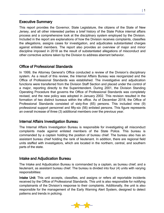## <span id="page-6-0"></span>Executive Summary

This report provides the Governor, State Legislature, the citizens of the State of New Jersey, and all other interested parties a brief history of the State Police internal affairs process and a comprehensive look at the disciplinary system employed by the Division. Included in the report are explanations of how the Division receives complaints, classifies the allegations, assigns cases for investigation, and adjudicates substantiated charges against enlisted members. The report also provides an overview of major and minor discipline imposed in 2018 as the result of substantiated allegations of misconduct and other corrective actions taken by the Division to address aberrant behavior.

## <span id="page-6-1"></span>Office of Professional Standards

In 1999, the Attorney General's Office conducted a review of the Division's disciplinary system. As a result of this review, the Internal Affairs Bureau was reorganized and the Office of Professional Standards was established. The investigative and adjudication functions were transferred from the Division Staff Section and placed under the control of a major, reporting directly to the Superintendent. During 2001, the Division Standing Operating Procedure that governs the Office of Professional Standards was completely revised, and the new policy was adopted in January 2002. This revision resulted in the formation of two distinct bureaus within the office. As of December 2018, the Office of Professional Standards consisted of sixty-five (65) persons. This included nine (9) professional support personnel and fifty-six (56) enlisted persons. This figure represents an overall increase of three (3) additional members over the previous year.

## <span id="page-6-2"></span>Internal Affairs Investigation Bureau

The Internal Affairs Investigation Bureau is responsible for investigating all misconduct complaints made against enlisted members of the State Police. This bureau is commanded by a captain holding the position of bureau chief. The bureau also has an assistant bureau chief holding the rank of lieutenant. In addition, there are regional field units staffed with investigators, which are located in the northern, central, and southern parts of the state.

#### <span id="page-6-3"></span>Intake and Adjudication Bureau

The Intake and Adjudication Bureau is commanded by a captain, as bureau chief, and a lieutenant, as assistant bureau chief. The bureau is divided into four (4) units with varying responsibilities:

Intake Unit: This unit accepts, classifies, and assigns or refers all reportable incidents received by the Office of Professional Standards. This unit is also responsible for notifying complainants of the Division's response to their complaints. Additionally, the unit is also responsible for the management of the Early Warning Alert System, designed to detect patterns and trends in policing.

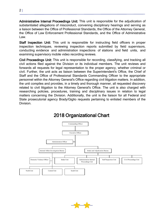Administrative Internal Proceedings Unit: This unit is responsible for the adjudication of substantiated allegations of misconduct, convening disciplinary hearings and serving as a liaison between the Office of Professional Standards, the Office of the Attorney General, the Office of Law Enforcement Professional Standards, and the Office of Administrative Law.

Staff Inspection Unit: This unit is responsible for instructing field officers in proper inspection techniques, reviewing inspection reports submitted by field supervisors, conducting evidence and administration inspections of stations and field units, and examining supervisory mobile video recording reviews.

Civil Proceedings Unit: This unit is responsible for recording, classifying, and tracking all civil actions filed against the Division or its individual members. The unit reviews and forwards all requests for legal representation to the proper agency, whether criminal or civil. Further, the unit acts as liaison between the Superintendent's Office, the Chief of Staff and the Office of Professional Standards Commanding Officer to the appropriate personnel within the Attorney General's Office regarding civil litigation matters. In addition, the unit compiles and provides, in a timely and thorough manner, all requested discovery related to civil litigation to the Attorney General's Office. The unit is also charged with researching policies, procedures, training and disciplinary issues in relation to legal matters concerning the Division. Additionally, the unit is the liaison for all Federal and State prosecutorial agency Brady/Giglio requests pertaining to enlisted members of the Division.

<span id="page-7-0"></span>

# 2018 Organizational Chart

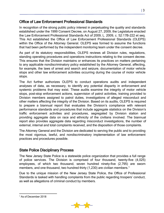## <span id="page-8-0"></span>Office of Law Enforcement Professional Standards

In recognition of the strong public policy interest in perpetuating the quality and standards established under the 1999 Consent Decree, on August 27, 2009, the Legislature enacted the Law Enforcement Professional Standards Act of 2009, L. 2009, c. 52:17B-222 et seq. This Act established the Office of Law Enforcement Professional Standards (OLEPS) within the Office of the Attorney General. OLEPS was formed to assume the functions that had been performed by the independent monitoring team under the consent decree.

As part of its statutory responsibilities, OLEPS reviews all Division rules, regulations, standing operating procedures and operations instructions relating to the consent decree. This ensures that the Division maintains or enhances its practices on matters pertaining to any applicable nondiscriminatory policy established by the Attorney General, affecting, for example, the laws of arrest and search and seizure, documentation of motor vehicle stops and other law enforcement activities occurring during the course of motor vehicle stops.

The Act further authorizes OLEPS to conduct operations audits and independent analyses of data, as necessary, to identify any potential disparity in enforcement and systemic problems that may exist. These audits examine the integrity of motor vehicle stops, post-stop enforcement actions, supervision of patrol activities, training provided to Division members assigned to patrol duties, investigations of alleged misconduct and other matters affecting the integrity of the Division. Based on its audits, OLEPS is required to prepare a biannual report that evaluates the Division's compliance with relevant performance standards and procedures that include aggregate statistics on the Division's traffic enforcement activities and procedures, segregated by Division station and providing aggregate data on race and ethnicity of the civilians involved. The biannual report also provides aggregate data regarding misconduct investigations, the number of external, internal and total complaints received, and the disposition of those complaints.

The Attorney General and the Division are dedicated to serving the public and to providing the most vigorous, lawful, and nondiscriminatory implementation of law enforcement practices and procedures possible.

# <span id="page-8-1"></span>State Police Disciplinary Process

The New Jersey State Police is a statewide police organization that provides a full range of police services. The Division is comprised of four thousand, twenty-five (4,025) employees, of which two thousand, seven hundred ninety-five (2,795) are sworn members, and one thousand, two hundred thirty (1,230) are civilian members.<sup>1</sup>

Due to the unique mission of the New Jersey State Police, the Office of Professional Standards is tasked with handling complaints from the public regarding troopers' conduct, as well as allegations of criminal conduct by members.



<sup>|</sup> 3

<span id="page-8-2"></span> $\overline{a}$ <sup>1</sup> As of December 2018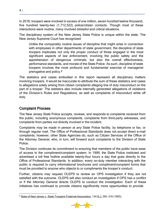In 2018, troopers were involved in excess of one million, seven hundred twelve thousand, five hundred twenty-two (1,712,522) police/citizen contacts. Though most of these interactions were routine, many involved stressful and critical situations.

The disciplinary system of the New Jersey State Police is unique within the state. The New Jersey Supreme Court has recognized:

Unlike the comparably routine issues of discipline that might arise in connection with employees in other departments of state government, the discipline of state troopers implicates not only the proper conduct of those engaged in the most significant aspects of law enforcement, involving the public safety and the apprehension of dangerous criminals, but also the overall effectiveness, performance standards, and morale of the State Police. As such, discipline of state troopers involves the most profound and fundamental exercise of managerial prerogative and policy[.2](#page-9-1)

The statistics and cases embodied in this report represent all disciplinary matters involving troopers. It would be inaccurate to attribute the sum of these statistics and cases to allegations solely arising from citizen complaints alleging line of duty misconduct on the part of a trooper. The statistics also include internally generated allegations of violations of the Division's Rules and Regulations, as well as complaints of misconduct while off duty.

# <span id="page-9-0"></span>Complaint Process

The New Jersey State Police accepts, reviews, and responds to complaints received from the public, including anonymous complaints, complaints from third-party witnesses, and complaints from parties not directly involved in the incident.

Complaints may be made in person at any State Police facility, by telephone or fax, or through regular mail. The Office of Professional Standards does not accept direct e-mail complaints; however, other State Agencies do, such as Citizen Services of the Office of the Attorney General, who, in turn, will forward such complaints to the Division of State Police.

The Division continues its commitment to ensuring that members of the public have ease of access to the compliment/complaint system. In 1999, the State Police instituted and advertised a toll free hotline available twenty-four hours a day that goes directly to the Office of Professional Standards. In addition, every on-duty member interacting with the public is required to carry informational brochures and compliment/complaint forms that must be provided to anyone who objects to or compliments the trooper's conduct.

Further, citizens may request OLEPS to review an OPS investigation if they are not satisfied with the outcome. OLEPS will also conduct an investigation if OPS has a conflict or if the Attorney General directs OLEPS to conduct the investigation. Each of these initiatives has continued to provide citizens significantly more opportunities to provide



<span id="page-9-1"></span> $\overline{a}$ <sup>2</sup> State of New Jersey v. State Troopers Fraternal Association, 134 N.J. 393, 416 (1993).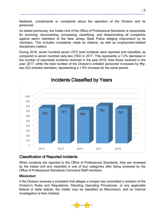feedback, compliments or complaints about the operation of the Division and its personnel.

As stated previously, the Intake Unit of the Office of Professional Standards is responsible for receiving, documenting, processing, classifying, and disseminating all complaints against sworn members of the New Jersey State Police alleging misconduct by its members. This includes complaints made by citizens, as well as employment-related disciplinary matters.

During 2018, seven hundred seven (707) total incidents were reported and classified, as compared to seven hundred sixty-two (762) in 2017. This represents a 7.2% decrease in the number of reportable incidents received in the year 2018, than those received in the year 2017, while the total number of the Division's enlisted personnel increased by fiftytwo (52) enlisted members, representing a 1.9% increase for the same period.

<span id="page-10-0"></span>

# Incidents Classified by Years

# <span id="page-10-1"></span>Classification of Reported Incidents

When incidents are reported to the Office of Professional Standards, they are reviewed by the Intake Unit and classified in one of four categories after being reviewed by the Office of Professional Standards Command Staff members.

#### **Misconduct**

If the Division receives a complaint that alleges a trooper has committed a violation of the Division's Rules and Regulations, Standing Operating Procedures, or any applicable federal or state statute, the matter may be classified as Misconduct, and an Internal Investigation is then initiated.



| 5

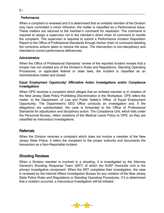#### **Performance**

When a complaint is reviewed and it is determined that an enlisted member of the Division may have committed a minor infraction, the matter is classified as a Performance Issue. These matters are returned to the member's command for resolution. The command is required to assign a supervisor not in the member's direct chain of command to handle the complaint. The supervisor is required to submit a Performance Incident Disposition Report to the Office of Professional Standards through his/her chain of command detailing the corrective actions taken to resolve the issue. The intervention is non-disciplinary and intended to correct performance deficiencies.

#### **Administrative**

When the Office of Professional Standards' review of the reported incident reveals that a trooper has not violated any of the Division's Rules and Regulations, Standing Operating Procedures, or applicable federal or state laws, the incident is classified as an Administrative matter and closed.

#### Equal Employment Opportunity/ Affirmative Action Investigations and/or Compliance **Investigations**

When OPS receives a complaint which alleges that an enlisted member is in violation of the New Jersey State Policy Prohibiting Discrimination in the Workplace, OPS refers the matter to the Department of Law and Public Safety's Office of Equal Employment Opportunity. The Department's EEO Office conducts an investigation and, if the allegations are substantiated, the case is forwarded to the Office of Professional Standards for adjudication and disciplinary action. The Compliance Unit, which falls under the Personnel Bureau, refers violations of the Medical Leave Policy to OPS, as they are classified as misconduct investigations.

#### <span id="page-11-0"></span>Referrals

When the Division receives a complaint which does not involve a member of the New Jersey State Police, it refers the complaint to the proper authority and documents the transaction as a Non-Reportable Incident.

#### <span id="page-11-1"></span>Shooting Reviews

When a Division member is involved in a shooting, it is investigated by the Attorney General's Shooting Response Team (SRT) of which the NJSP Homicide Unit is the primary investigative component. When the SRT completes their investigation, the case is reviewed by the Internal Affairs Investigation Bureau for any violation of the New Jersey State Police Rules and Regulations or Standing Operating Procedures. If it is determined that a violation occurred, a misconduct investigation will be initiated.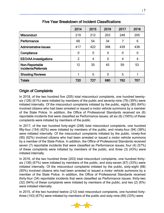<span id="page-12-0"></span>

|                                       | 2014           | 2015           | 2016           | 2017           | 2018        |
|---------------------------------------|----------------|----------------|----------------|----------------|-------------|
| <b>Misconduct</b>                     | 219            | 212            | 203            | 248            | 205         |
| Performance                           | 69             | 54             | 34             | 7              | 6           |
| <b>Administrative Issues</b>          | 417            | 422            | 398            | 439            | 438         |
| Compliance                            | $\mathbf{0}$   | 0              | $\overline{0}$ | $\overline{0}$ | $\mathbf 0$ |
| <b>EEO/AA Investigations</b>          | $\overline{2}$ | 4              | $\overline{0}$ | 4              | 4           |
| Non-Reportable<br>Incidents/Referrals | 12             | 35             | 45             | 59             | 53          |
| <b>Shooting Reviews</b>               |                | $\overline{0}$ | $\overline{0}$ | 5              |             |
| <b>Totals</b>                         | 720            | 727            | 680            | 762            | 707         |

Five Year Breakdown of Incident Classifications

# <span id="page-12-1"></span>Origin of Complaints

In 2018, of the two hundred five (205) total misconduct complaints, one hundred twentysix (126) (61%) were initiated by members of the public and seventy-nine (79) (39%) were initiated internally. Of the misconduct complaints initiated by the public, eighty (80) (64%) involved citizens who had been arrested or issued a motor vehicle summons by a member of the State Police. In addition, the Office of Professional Standards received six (6) reportable incidents that were classified as Performance issues; all six (6) (100%) of these complaints were initiated by members of the public.

In 2017, of the two hundred forty-eight (248) total misconduct complaints, one hundred fifty-four (154) (62%) were initiated by members of the public, and ninety-four (94) (38%) were initiated internally. Of the misconduct complaints initiated by the public, ninety-five (95) (62%) involved citizens who had been arrested or issued a motor vehicle summons by a member of the State Police. In addition, the Office of Professional Standards received seven (7) reportable incidents that were classified as Performance issues; four (4) (57%) of these complaints were initiated by members of the public, and three (3) (43%) were initiated internally.

In 2016, of the two hundred three (203) total misconduct complaints, one hundred thirtysix (136) (67%) were initiated by members of the public, and sixty-seven (67) (33%) were initiated internally. Of the misconduct complaints initiated by the public, sixty-eight (68) (50%) involved citizens who had been arrested or issued a motor vehicle summons by a member of the State Police. In addition, the Office of Professional Standards received thirty-four (34) reportable incidents that were classified as Performance issues; thirty-two (32) (94%) of these complaints were initiated by members of the public, and two (2) (6%) were initiated internally.

In 2015, of the two hundred twelve (212) total misconduct complaints, one hundred fortythree (143) (67%) were initiated by members of the public and sixty-nine (69) (33%) were

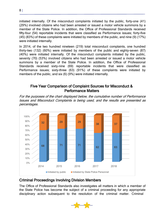initiated internally. Of the misconduct complaints initiated by the public, forty-one (41) (29%) involved citizens who had been arrested or issued a motor vehicle summons by a member of the State Police. In addition, the Office of Professional Standards received fifty-four (54) reportable incidents that were classified as Performance issues; forty-five (45) (83%) of these complaints were initiated by members of the public, and nine (9) (17%) were initiated internally.

In 2014, of the two hundred nineteen (219) total misconduct complaints, one hundred thirty-two (132) (60%) were initiated by members of the public and eighty-seven (87) (40%) were initiated internally. Of the misconduct complaints initiated by the public, seventy (70) (53%) involved citizens who had been arrested or issued a motor vehicle summons by a member of the State Police. In addition, the Office of Professional Standards received sixty-nine (69) reportable incidents that were classified as Performance issues; sixty-three (63) (91%) of these complaints were initiated by members of the public, and six (6) (9%) were initiated internally.

#### Five Year Comparison of Complaint Sources for Misconduct & Performance Matters

<span id="page-13-0"></span>For the purposes of the chart displayed below, the cumulative number of Performance Issues and Misconduct Complaints is being used, and the results are presented as percentages.



## <span id="page-13-1"></span>Criminal Proceedings Involving Division Members

The Office of Professional Standards also investigates all matters in which a member of the State Police has become the subject of a criminal proceeding for any appropriate disciplinary action subsequent to the resolution of the criminal matter. Criminal

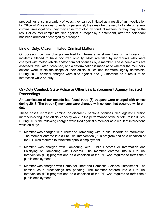proceedings arise in a variety of ways: they can be initiated as a result of an investigation by Office of Professional Standards personnel; they may be the result of state or federal criminal investigations; they may arise from off-duty conduct matters; or they may be the result of counter-complaints filed against a trooper by a defendant, after the defendant has been arrested or charged by a trooper.

#### <span id="page-14-0"></span>Line of Duty: Citizen Initiated Criminal Matters

On occasion, criminal charges are filed by citizens against members of the Division for incidents alleged to have occurred on-duty. Most are filed by individuals who were charged with motor vehicle and/or criminal offenses by a member. These complaints are assessed, evaluated, screened, and a determination is made as to whether the members' actions were within the scope of their official duties and therefore legally defensible. During 2018, criminal charges were filed against one (1) member as a result of an interaction while on-duty.

## <span id="page-14-1"></span>On-Duty Conduct: State Police or Other Law Enforcement Agency Initiated Proceedings.

#### An examination of our records has found three (3) troopers were charged with crimes during 2018. The three (3) members were charged with conduct that occurred while onduty.

These cases represent criminal or disorderly persons offenses filed against Division members acting in an official capacity while in the performance of their State Police duties. During 2018, the following charges were filed against a member as a result of interactions while on-duty:

- Member was charged with Theft and Tampering with Public Records or Information. The member entered into a Pre-Trial Intervention (PTI) program and as a condition of the PTI was required to forfeit their public employment.
- Member was charged with Tampering with Public Records or Information and Falsifying or Tampering with Records. The member entered into a Pre-Trial Intervention (PTI) program and as a condition of the PTI was required to forfeit their public employment.
- Member was charged with Computer Theft and Domestic Violence Harassment. The criminal court proceedings are pending. The member entered into a Pre-Trial Intervention (PTI) program and as a condition of the PTI was required to forfeit their public employment.

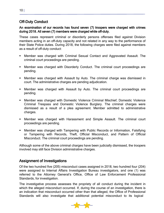# <span id="page-15-0"></span>Off-Duty Conduct

#### An examination of our records has found seven (7) troopers were charged with crimes during 2018. All seven (7) members were charged while off-duty.

These cases represent criminal or disorderly persons offenses filed against Division members acting in an off-duty capacity and not related in any way to the performance of their State Police duties. During 2018, the following charges were filed against members as a result of off-duty conduct:

- Member was charged with Criminal Sexual Contact and Aggravated Assault. The criminal court proceedings are pending.
- Member was charged with Disorderly Conduct. The criminal court proceedings are pending.
- Member was charged with Assault by Auto. The criminal charge was dismissed in court. The administrative charges are pending adjudication.
- Member was charged with Assault by Auto. The criminal court proceedings are pending.
- Member was charged with Domestic Violence Criminal Mischief, Domestic Violence Criminal Trespass and Domestic Violence Burglary. The criminal charges were dismissed as a result of a plea agreement. Member admitted to administrative charges.
- Member was charged with Harassment and Simple Assault. The criminal court proceedings are pending.
- Member was charged with Tampering with Public Records or Information, Falsifying or Tampering with Records, Theft, Official Misconduct, and Pattern of Official Misconduct. The criminal court proceedings are pending.

Although some of the above criminal charges have been judicially dismissed, the troopers involved may still face Division administrative charges.

## <span id="page-15-1"></span>Assignment of Investigations

Of the two hundred five (205) misconduct cases assigned in 2018, two hundred four (204) were assigned to Internal Affairs Investigation Bureau investigators, and one (1) was referred to the Attorney General's Office, Office of Law Enforcement Professional Standards, for investigation.

The investigative process assesses the propriety of all conduct during the incident in which the alleged misconduct occurred. If, during the course of an investigation, there is an indication that misconduct occurred other than that alleged, the Office of Professional Standards will also investigate that additional potential misconduct to its logical

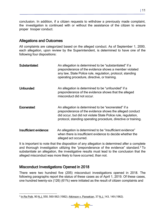conclusion. In addition, if a citizen requests to withdraw a previously made complaint, the investigation is continued with or without the assistance of the citizen to ensure proper trooper conduct.

## <span id="page-16-0"></span>Allegations and Outcomes

All complaints are categorized based on the alleged conduct. As of September 1, 2000, each allegation, upon review by the Superintendent, is determined to have one of the following four dispositions:

| Substantiated:         | An allegation is determined to be "substantiated" if a<br>preponderance of the evidence shows a member violated<br>any law, State Police rule, regulation, protocol, standing<br>operating procedure, directive, or training.                     |
|------------------------|---------------------------------------------------------------------------------------------------------------------------------------------------------------------------------------------------------------------------------------------------|
| Unfounded:             | An allegation is determined to be "unfounded" if a<br>preponderance of the evidence shows that the alleged<br>misconduct did not occur.                                                                                                           |
| Exonerated:            | An allegation is determined to be "exonerated" if a<br>preponderance of the evidence shows the alleged conduct<br>did occur, but did not violate State Police rule, regulation,<br>protocol, standing operating procedure, directive or training. |
| Insufficient evidence: | An allegation is determined to be "insufficient evidence"<br>when there is insufficient evidence to decide whether the<br>alleged act occurred.                                                                                                   |

It is important to note that the disposition of any allegation is determined after a complete and thorough investigation utilizing the "preponderance of the evidence" standard[.3](#page-16-2) To substantiate an allegation, the investigative results must lead to the conclusion that the alleged misconduct was more likely to have occurred, than not.

## <span id="page-16-1"></span>Misconduct Investigations Opened in 2018

There were two hundred five (205) misconduct investigations opened in 2018. The following paragraphs report the status of these cases as of April 1, 2019. Of these cases, one hundred twenty-six (126) (61%) were initiated as the result of citizen complaints and

<span id="page-16-2"></span> $\overline{a}$ <sup>3</sup> In Re Polk, 90 N.J. 550, 560-562 (1982); Atkinson v. Parsekian, 37 N.J. 143, 149 (1962).

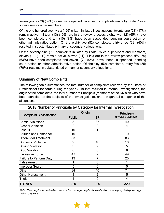seventy-nine (79) (39%) cases were opened because of complaints made by State Police supervisors or other members.

Of the one hundred twenty-six (126) citizen-initiated investigations, twenty-one (21) (17%) remain active, thirteen (13) (10%) are in the review process, eighty-two (82) (65%) have been completed, and ten (10) (8%) have been suspended pending court action or other administrative action. Of the eighty-two (82) completed, thirty-three (33) (40%) resulted in substantiated primary or secondary allegations.

Of the seventy-nine (79) complaints initiated by State Police supervisors and members, eleven (11) (14%) remain active, eleven (11) (14%) are in the review process, fifty (50) (63%) have been completed and seven (7) (9%) have been suspended pending court action or other administrative action. Of the fifty (50) completed, thirty-five (35) (70%) resulted in substantiated primary or secondary allegations.

## <span id="page-17-0"></span>Summary of New Complaints:

The following table summarizes the total number of complaints received by the Office of Professional Standards during the year 2018 that resulted in Internal Investigations, the origin of the complaints, the total number of Principals (members of the Division who have been identified as the subjects of the investigations), and the general categories of the allegations.

<span id="page-17-1"></span>

| 2018 Number of Principals by Category for Internal Investigation |                |                |                                         |  |
|------------------------------------------------------------------|----------------|----------------|-----------------------------------------|--|
|                                                                  |                | Origin         | <b>Principals</b><br>(Involved Members) |  |
| <b>Complaint Classification</b>                                  | <b>Public</b>  | <b>SP</b>      |                                         |  |
| Admin. Violations                                                | 3              | 37             | 40                                      |  |
| <b>Alcohol Violation</b>                                         | $\overline{2}$ | $\overline{2}$ | 4                                       |  |
| Assault                                                          | 10             |                | 11                                      |  |
| <b>Attitude and Demeanor</b>                                     | 10             | $\Omega$       | 10                                      |  |
| <b>Differential Treatment</b>                                    | 83             | 0              | 83                                      |  |
| <b>Domestic Violence</b>                                         | $\overline{2}$ | 16             | 18                                      |  |
| <b>Driving Violation</b>                                         | 3              | 2              | 5                                       |  |
| <b>Drug Violation</b>                                            | 0              | $\mathbf 0$    | $\Omega$                                |  |
| <b>Excessive Force</b>                                           | 47             | $\overline{2}$ | 49                                      |  |
| <b>Failure to Perform Duty</b>                                   | 13             | 7              | 20                                      |  |
| <b>False Arrest</b>                                              |                | $\Omega$       |                                         |  |
| Improper Search                                                  | 5              | $\Omega$       | 5                                       |  |
| Other                                                            | 34             | 40             | 74                                      |  |
| <b>Other Harassment</b>                                          | 3              | $\overline{2}$ | 5                                       |  |
| Theft                                                            | 4              | 0              | 4                                       |  |
| <b>TOTALS</b>                                                    | 220            | 109            | 329                                     |  |

Note: The complaints are broken down by the primary complaint classification, and segregated by the origin of the complaint.

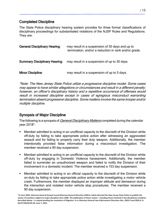# <span id="page-18-0"></span>Completed Discipline

The State Police disciplinary hearing system provides for three formal classifications of disciplinary proceedings for substantiated violations of the NJSP Rules and Regulations. They are:

| <b>General Disciplinary Hearing:</b> | may result in a suspension of 30 days and up to<br>termination, and/or a reduction in rank and/or grade. |
|--------------------------------------|----------------------------------------------------------------------------------------------------------|
| <b>Summary Disciplinary Hearing:</b> | may result in a suspension of up to 30 days.                                                             |
| <b>Minor Discipline:</b>             | may result in a suspension of up to 5 days.                                                              |

\*Note: The New Jersey State Police utilize <sup>a</sup> progressive discipline model. Some cases may appear to have similar allegations or circumstances and result in <sup>a</sup> different penalty; however, an officer's disciplinary history and <sup>a</sup> repetitive occurrence of offenses would result in increased discipline except in cases of egregious misconduct warranting termination absent progressive discipline. Some matters involve the same trooper and/or multiple discipline.

# <span id="page-18-1"></span>Synopsis of Major Discipline

The following is a synopsis of *General Disciplinary Matters* completed during the calendar year 2018\*:

- Member admitted to acting in an unofficial capacity to the discredit of the Division while off-duty by failing to take appropriate police action after witnessing an aggravated assault and for failing to properly carry their duty weapon. Additionally, the member intentionally provided false information during a misconduct investigation. The member received a 90 day suspension.
- Member admitted to acting in an unofficial capacity to the discredit of the Division while off-duty by engaging in Domestic Violence harassment. Additionally, the member failed to surrender an unauthorized weapon and failed to notify the Division of their involvement in a domestic incident. The member received a 153 day suspension.
- Member admitted to acting in an official capacity to the discredit of the Division while on-duty by failing to take appropriate police action while investigating a motor vehicle crash. Furthermore, the member displayed an improper attitude and demeanor during the interaction and violated motor vehicle stop procedures. The member received a 90 day suspension.

**\*In June 2020, Attorney General Grewal issued Attorney General Directive 2020-6, which directed the New Jersey State Police to publish the names of members subject to major discipline since 2000. The publication of those names – including those involved in the disciplinary incidents described below – is stayed pending the resolution of litigation.** *In re Attorney General Law Enforcement Directives Nos. 2020-5 and 2020-6***, A-26/27/28/29/30-20, June 7, 2021.**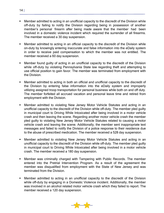- Member admitted to acting in an unofficial capacity to the discredit of the Division while off-duty by failing to notify the Division regarding being in possession of another member's personal firearm after being made aware that the member had been involved in a domestic violence incident which required the surrender of all firearms. The member received a 30 day suspension.
- Member admitted to acting in an official capacity to the discredit of the Division while on-duty by knowingly entering inaccurate and false information into the eDaily system in order to receive paid compensation to which the member was not entitled. The member received a 60 day suspension.
- Member found guilty of acting in an unofficial capacity to the discredit of the Division while off-duty by violating Pennsylvania State law regarding theft and attempting to use official position to gain favor. The member was terminated from employment with the Division.
- Member admitted to acting in both an official and unofficial capacity to the discredit of the Division by entering false information into the eDaily system and improperly utilizing assigned troop transportation for personal business while both on and off duty. The member forfeited all accrued vacation and personal leave time and retired from employment with the Division.
- Member admitted to violating New Jersey Motor Vehicle Statutes and acting in an unofficial capacity to the discredit of the Division while off-duty. The member pled guilty in municipal court to Driving While Intoxicated after being involved in a motor vehicle crash and then leaving the scene. Regarding another motor vehicle crash the member pled guilty to violating New Jersey Motor Vehicle Statutes related to causing a motor vehicle crash and leaving the scene. Additionally, the member sent inappropriate text messages and failed to notify the Division of a police response to their residence due to the abuse of prescribed medication. The member received a 528 day suspension.
- Member admitted to violating New Jersey Motor Vehicle Statutes and acting in an unofficial capacity to the discredit of the Division while off-duty. The member pled guilty in municipal court to Driving While Intoxicated after being involved in a motor vehicle crash. The member received a 180 day suspension.
- Member was criminally charged with Tampering with Public Records. The member entered into the Pretrial Intervention Program. As a result of the agreement the member was disqualified from employment with the State of New Jersey and was terminated from the Division.
- Member admitted to acting in an unofficial capacity to the discredit of the Division while off-duty by engaging in a Domestic Violence incident. Additionally, the member was involved in an alcohol related motor vehicle crash which they failed to report. The member received a 120 day suspension.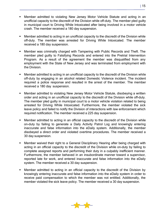- Member admitted to violating New Jersey Motor Vehicle Statute and acting in an unofficial capacity to the discredit of the Division while off-duty. The member pled guilty in municipal court to Driving While Intoxicated after being involved in a motor vehicle crash. The member received a 180 day suspension.
- Member admitted to acting in an unofficial capacity to the discredit of the Division while off-duty. The member was arrested for Driving While Intoxicated. The member received a 180 day suspension.
- Member was criminally charged with Tampering with Public Records and Theft. The member pled guilty to Falsifying Records and entered into the Pretrial Intervention Program. As a result of the agreement the member was disqualified from any employment with the State of New Jersey and was terminated from employment with the Division.
- Member admitted to acting in an unofficial capacity to the discredit of the Division while off-duty by engaging in an alcohol related Domestic Violence incident. The incident required a police response and resulted in the arrest of the member. The member received a 180 day suspension.
- Member admitted to violating New Jersey Motor Vehicle Statute, disobeying a written order and acting in an unofficial capacity to the discredit of the Division while off-duty. The member pled guilty in municipal court to a motor vehicle violation related to being arrested for Driving While Intoxicated. Furthermore, the member violated the sick leave policy and failed to notify the Division of interactions with law enforcement which required notification. The member received a 225 day suspension.
- Member admitted to acting in an official capacity to the discredit of the Division while on-duty by failing to generate a Daily Activity Patrol Log and knowingly entering inaccurate and false information into the eDaily system. Additionally, the member disobeyed a direct order and violated overtime procedures. The member received a 30 day suspension.
- Member waived their right to a General Disciplinary Hearing after being charged with acting in an official capacity to the discredit of the Division while on-duty by failing to complete assigned reports and performing their duty in a culpably inefficient manner. Furthermore, the member behaved in an insubordinate manner toward a supervisor, reported late for work, and entered inaccurate and false information into the eDaily system. The member received a 30 day suspension.
- Member admitted to acting in an official capacity to the discredit of the Division by knowingly entering inaccurate and false information into the eDaily system in order to receive paid compensation to which the member was not entitled. Additionally, the member violated the sick leave policy. The member received a 30 day suspension.

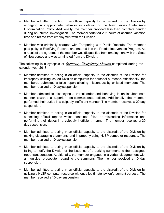- Member admitted to acting in an official capacity to the discredit of the Division by engaging in inappropriate behavior in violation of the New Jersey State Anti-Discrimination Policy. Additionally, the member provided less than complete candor during an internal investigation. The member forfeited 205 hours of accrued vacation time and retired from employment with the Division.
- Member was criminally charged with Tampering with Public Records. The member pled guilty to Falsifying Records and entered into the Pretrial Intervention Program. As a result of the agreement the member was disqualified from employment with the State of New Jersey and was terminated from the Division.

The following is a synopsis of *Summary Disciplinary Matters* completed during the calendar year 2018:

- Member admitted to acting in an official capacity to the discredit of the Division for improperly utilizing issued Division computers for personal purposes. Additionally, the membered submitted a false report alleging misconduct by enlisted members. The member received a 10 day suspension.
- Member admitted to disobeying a verbal order and behaving in an insubordinate manner towards a superior non-commissioned officer. Additionally, the member performed their duties in a culpably inefficient manner. The member received a 20 day suspension.
- Member admitted to acting in an official capacity to the discredit of the Division for submitting official reports which contained false or misleading information and performing their duties in a culpably inefficient manner. The member received a 30 day suspension.
- Member admitted to acting in an official capacity to the discredit of the Division by making disparaging statements and improperly using NJSP computer resources. The member received a 10 day suspension.
- Member admitted to acting in an official capacity to the discredit of the Division by failing to notify the Division of the issuance of a parking summons to their assigned troop transportation. Additionally, the member engaged in a verbal disagreement with a municipal prosecutor regarding the summons. The member received a 10 day suspension.
- Member admitted to acting in an official capacity to the discredit of the Division by utilizing a NJSP computer resource without a legitimate law enforcement purpose. The member received a 10 day suspension.

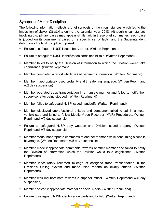# <span id="page-22-0"></span>Synopsis of Minor Discipline

The following information reflects a brief synopsis of the circumstances which led to the imposition of *Minor Discipline* during the calendar year 2018. Although circumstances involving disciplinary cases may appear similar within these brief summaries, each case is judged on its own merits based on a specific set of facts, and the Superintendent determines the final discipline imposed.

- Failure to safeguard NJSP issued body armor. (Written Reprimand)
- Failure to safeguard NJSP identification cards and billfold. (Written Reprimand)
- Member failed to notify the Division of information to which the Division would take cognizance. (Written Reprimand)
- Member completed a report which lacked pertinent information. (Written Reprimand)
- Member inappropriately used profanity and threatening language. (Written Reprimand w/2 day suspension)
- Member operated troop transportation in an unsafe manner and failed to notify their supervisor after being stopped. (Written Reprimand)
- Member failed to safeguard NJSP issued handcuffs. (Written Reprimand)
- Member displayed unprofessional attitude and demeanor, failed to call in a motor vehicle stop and failed to follow Mobile Video Recorder (MVR) Procedures. (Written Reprimand w/5 day suspension)
- Failure to safeguard NJSP duty weapon and Division issued property. (Written Reprimand w/5 day suspension)
- Member made inappropriate comments to another member while consuming alcoholic beverages. (Written Reprimand w/5 day suspension)
- Member made inappropriate comments towards another member and failed to notify the Division of information which the Division would take cognizance. (Written Reprimand)
- Member inaccurately recorded mileage of assigned troop transportation in the Division's fueling system and made false reports on eDaily entries. (Written Reprimand)
- Member was insubordinate towards a superior officer. (Written Reprimand w/5 day suspension)
- Member posted inappropriate material on social media. (Written Reprimand)
- Failure to safeguard NJSP identification cards and billfold. (Written Reprimand)

| 17

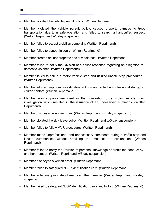- Member violated the vehicle pursuit policy. (Written Reprimand)
- Member violated the vehicle pursuit policy, caused property damage to troop transportation due to unsafe operation and failed to search a handcuffed suspect. (Written Reprimand w/5 day suspension)
- Member failed to accept a civilian complaint. (Written Reprimand)
- Member failed to appear in court. (Written Reprimand)
- Member created an inappropriate social media post. (Written Reprimand)
- Member failed to notify the Division of a police response regarding an allegation of domestic violence. (Written Reprimand)
- Member failed to call in a motor vehicle stop and utilized unsafe stop procedures. (Written Reprimand)
- Member utilized improper investigative actions and acted unprofessional during a citizen contact. (Written Reprimand)
- Member was culpably inefficient in the completion of a motor vehicle crash investigation which resulted in the issuance of an undeserved summons. (Written Reprimand)
- Member disobeyed a written order. (Written Reprimand w/5 day suspension)
- Member violated the sick leave policy. (Written Reprimand w/5 day suspension)
- Member failed to follow MVR procedures. (Written Reprimand)
- Member made unprofessional and unnecessary comments during a traffic stop and issued summonses without providing the motorist an explanation. (Written Reprimand)
- Member failed to notify the Division of personal knowledge of prohibited conduct by another member. (Written Reprimand w/5 day suspension)
- **Member disobeyed a written order. (Written Reprimand)**
- Member failed to safeguard NJSP identification card. (Written Reprimand)
- Member acted inappropriately towards another member. (Written Reprimand w/2 day suspension)
- Member failed to safeguard NJSP identification cards and billfold. (Written Reprimand)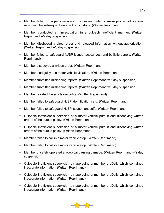- Member failed to properly secure a prisoner and failed to make proper notifications regarding the subsequent escape from custody. (Written Reprimand)
- Member conducted an investigation in a culpably inefficient manner. (Written Reprimand w/2 day suspension)
- Member disobeyed a direct order and released information without authorization. (Written Reprimand w/5 day suspension)
- Member failed to safeguard NJSP issued tactical vest and ballistic panels. (Written Reprimand)
- Member disobeyed a written order. (Written Reprimand)
- Member pled guilty to a motor vehicle violation. (Written Reprimand)
- Member submitted misleading reports. (Written Reprimand w/5 day suspension)
- Member submitted misleading reports. (Written Reprimand w/5 day suspension)
- **Member violated the sick leave policy. (Written Reprimand)**
- Member failed to safeguard NJSP identification card. (Written Reprimand)
- Member failed to safeguard NJSP issued handcuffs. (Written Reprimand)
- Culpable inefficient supervision of a motor vehicle pursuit and disobeying written orders of the pursuit policy. (Written Reprimand)
- Culpable inefficient supervision of a motor vehicle pursuit and disobeying written orders of the pursuit policy. (Written Reprimand)
- Member failed to call in a motor vehicle stop. (Written Reprimand)
- Member failed to call in a motor vehicle stop. (Written Reprimand)
- Member unsafely operated a troop car causing damage. (Written Reprimand w/2 day suspension)
- Culpable inefficient supervision by approving a member's eDaily which contained inaccurate information. (Written Reprimand)
- Culpable inefficient supervision by approving a member's eDaily which contained inaccurate information. (Written Reprimand)
- Culpable inefficient supervision by approving a member's eDaily which contained inaccurate information. (Written Reprimand)

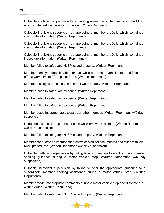- Culpable inefficient supervision by approving a member's Daily Activity Patrol Log which contained inaccurate information. (Written Reprimand)
- Culpable inefficient supervision by approving a member's eDaily which contained inaccurate information. (Written Reprimand)
- Culpable inefficient supervision by approving a member's eDaily which contained inaccurate information. (Written Reprimand)
- Culpable inefficient supervision by approving a member's eDaily which contained inaccurate information. (Written Reprimand)
- Member failed to safeguard NJSP issued property. (Written Reprimand)
- Member displayed questionable conduct while on a motor vehicle stop and failed to offer a Compliment / Complaint Form. (Written Reprimand)
- Member displayed questionable conduct while off duty. (Written Reprimand)
- **Member failed to safeguard evidence. (Written Reprimand)**
- Member failed to safeguard evidence. (Written Reprimand)
- Member failed to safeguard evidence. (Written Reprimand)
- Member acted inappropriately towards another member. (Written Reprimand w/5 day suspension)
- Unauthorized use of troop transportation while involved in a crash. (Written Reprimand w/5 day suspension)
- Member failed to safeguard NJSP issued property. (Written Reprimand)
- Member conducted an improper search which was not documented and failed to follow MVR procedures. (Written Reprimand w/5 day suspension)
- Culpable inefficient supervision by failing to offer direction to a subordinate member seeking guidance during a motor vehicle stop. (Written Reprimand w/5 day suspension)
- Culpable inefficient supervision by failing to offer the appropriate guidance to a subordinate member seeking assistance during a motor vehicle stop. (Written Reprimand)
- Member made inappropriate comments during a motor vehicle stop and disobeyed a written order. (Written Reprimand)
- Member failed to safeguard NJSP issued property. (Written Reprimand)

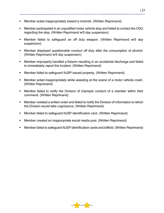- Member acted inappropriately toward a motorist. (Written Reprimand)
- Member participated in an unjustified motor vehicle stop and failed to contact the ODU regarding the stop. (Written Reprimand w/5 day suspension)
- Member failed to safeguard an off duty weapon. (Written Reprimand w/5 day suspension)
- Member displayed questionable conduct off duty after the consumption of alcohol. (Written Reprimand w/5 day suspension)
- Member improperly handled a firearm resulting in an accidental discharge and failed to immediately report the incident. (Written Reprimand)
- Member failed to safeguard NJSP issued property. (Written Reprimand)
- **Member acted inappropriately while assisting at the scene of a motor vehicle crash.** (Written Reprimand)
- Member failed to notify the Division of improper conduct of a member within their command. (Written Reprimand)
- Member violated a written order and failed to notify the Division of information to which the Division would take cognizance. (Written Reprimand)
- Member failed to safeguard NJSP identification card. (Written Reprimand)
- Member created an inappropriate social media post. (Written Reprimand)
- Member failed to safeguard NJSP identification cards and billfold. (Written Reprimand)

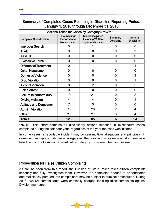| Actions Taken for Cases by Category in Year 2018 |                                                    |                                                                                  |                              |                              |
|--------------------------------------------------|----------------------------------------------------|----------------------------------------------------------------------------------|------------------------------|------------------------------|
| <b>Complaint Classification</b>                  | Counseling/<br>Performance<br><b>Notice Issued</b> | <b>Minor Discipline/</b><br><b>Including Written</b><br><b>Reprimands Issued</b> | Summary<br><b>Discipline</b> | General<br><b>Discipline</b> |
| <b>Improper Search</b>                           | 0                                                  |                                                                                  | 0                            | 0                            |
| <b>Theft</b>                                     | 0                                                  | 0                                                                                | 0                            | 3                            |
| <b>Assault</b>                                   | 0                                                  | 0                                                                                | 0                            | 0                            |
| <b>Excessive Force</b>                           | 0                                                  | 0                                                                                | 0                            | $\overline{0}$               |
| <b>Differential Treatment</b>                    | 0                                                  |                                                                                  |                              |                              |
| <b>Other Harassment</b>                          | 0                                                  | 0                                                                                | 0                            | 0                            |
| <b>Domestic Violence</b>                         | 0                                                  | 0                                                                                | 0                            | 3                            |
| <b>Drug Violation</b>                            | 0                                                  | 0                                                                                | 0                            |                              |
| <b>Alcohol Violation</b>                         | 0                                                  | $\overline{2}$                                                                   | 0                            | 5                            |
| <b>False Arrest</b>                              | 0                                                  | 0                                                                                | 0                            | 0                            |
| Failure to perform duty                          | 19                                                 | 21                                                                               | 0                            | $\overline{2}$               |
| <b>Driving violation</b>                         | 4                                                  | 4                                                                                | 0                            |                              |
| <b>Attitude and Demeanor</b>                     | 7                                                  | 3                                                                                | 0                            | 0                            |
| <b>Admin. Violation</b>                          | 73                                                 | 26                                                                               | $\overline{2}$               | 4                            |
| <b>Other</b>                                     | 23                                                 | 27                                                                               | 3                            | 4                            |
| <b>Totals</b>                                    | 126                                                | 85                                                                               | 6                            | 24                           |

# <span id="page-27-0"></span>Summary of Completed Cases Resulting in Discipline Reporting Period: January 1, 2018 through December 31, 2018

\*NOTE: This chart contains all disciplinary actions imposed in misconduct cases completed during the calendar year, regardless of the year the case was initiated.

In some cases, a reportable incident may contain multiple allegations and principals. In cases with multiple substantiated allegations, the resulting discipline against a member is listed next to the Complaint Classification category considered the most severe.

# <span id="page-27-1"></span>Prosecution for False Citizen Complaints

As can be seen from this report, the Division of State Police takes citizen complaints seriously and fully investigates them. However, if a complaint is found to be fabricated and maliciously pursued, the complainant may be subject to criminal prosecution. During 2018, two (2) complainants were criminally charged for filing false complaints against Division members.

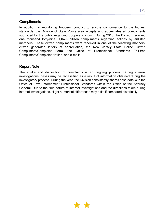#### <span id="page-28-0"></span>**Compliments**

In addition to monitoring troopers' conduct to ensure conformance to the highest standards, the Division of State Police also accepts and appreciates all compliments submitted by the public regarding troopers' conduct. During 2018, the Division received one thousand forty-nine (1,049) citizen compliments regarding actions by enlisted members. These citizen compliments were received in one of the following manners: citizen generated letters of appreciation, the New Jersey State Police Citizen Compliment/Complaint Form, the Office of Professional Standards Toll-free Compliment/Complaint Hotline, and e-mails.

#### <span id="page-28-1"></span>Report Note

The intake and disposition of complaints is an ongoing process. During internal investigations, cases may be reclassified as a result of information obtained during the investigatory process. During the year, the Division consistently shares case data with the Office of Law Enforcement Professional Standards within the Office of the Attorney General. Due to the fluid nature of internal investigations and the directions taken during internal investigations, slight numerical differences may exist if compared historically.

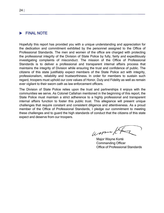<span id="page-29-0"></span>

Hopefully this report has provided you with a unique understanding and appreciation for the dedication and commitment exhibited by the personnel assigned to the Office of Professional Standards. The men and women of the office are charged with protecting the professional integrity of the Division of State Police by fully, fairly and expeditiously investigating complaints of misconduct. The mission of the Office of Professional Standards is to deliver a professional and transparent internal affairs process that maintains the integrity of Division while ensuring the trust and confidence of public. The citizens of this state justifiably expect members of the State Police act with integrity, professionalism, reliability and trustworthiness. In order for members to sustain such regard, troopers must uphold our core values of Honor, Duty and Fidelity as well as remain ever vigilant to their sworn oath as law enforcement officers.

The Division of State Police relies upon the trust and partnerships it enjoys with the communities we serve. As Colonel Callahan mentioned in the beginning of this report, the State Police must maintain a strict adherence to a highly professional and transparent internal affairs function to foster this public trust. This allegiance will present unique challenges that require constant and consistent diligence and attentiveness. As a proud member of the Office of Professional Standards, I pledge our commitment to meeting these challenges and to guard the high standards of conduct that the citizens of this state expect and deserve from our troopers.

Warren /c

Major Wayne Korté Commanding Officer Office of Professional Standards